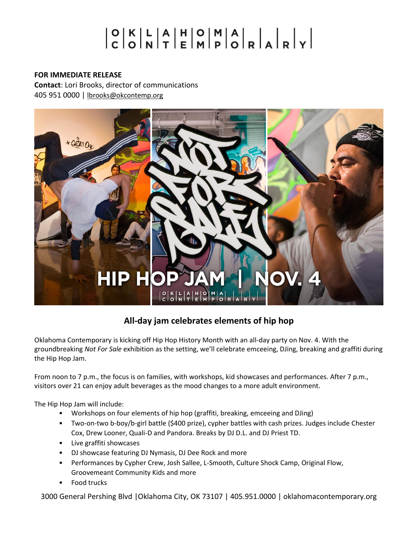# 

## **FOR IMMEDIATE RELEASE**

**Contact**: Lori Brooks, director of communications 405 951 0000 | [lbrooks@okcontemp.org](mailto:lbrooks@okcontemp.org)



## **All-day jam celebrates elements of hip hop**

Oklahoma Contemporary is kicking off Hip Hop History Month with an all-day party on Nov. 4. With the groundbreaking *Not For Sale* exhibition as the setting, we'll celebrate emceeing, DJing, breaking and graffiti during the Hip Hop Jam.

From noon to 7 p.m., the focus is on families, with workshops, kid showcases and performances. After 7 p.m., visitors over 21 can enjoy adult beverages as the mood changes to a more adult environment.

The Hip Hop Jam will include:

- Workshops on four elements of hip hop (graffiti, breaking, emceeing and DJing)
- Two-on-two b-boy/b-girl battle (\$400 prize), cypher battles with cash prizes. Judges include Chester Cox, Drew Looner, Quali-D and Pandora. Breaks by DJ D.L. and DJ Priest TD.
- Live graffiti showcases
- DJ showcase featuring DJ Nymasis, DJ Dee Rock and more
- Performances by Cypher Crew, Josh Sallee, L-Smooth, Culture Shock Camp, Original Flow, Groovemeant Community Kids and more
- Food trucks

3000 General Pershing Blvd |Oklahoma City, OK 73107 | 405.951.0000 | oklahomacontemporary.org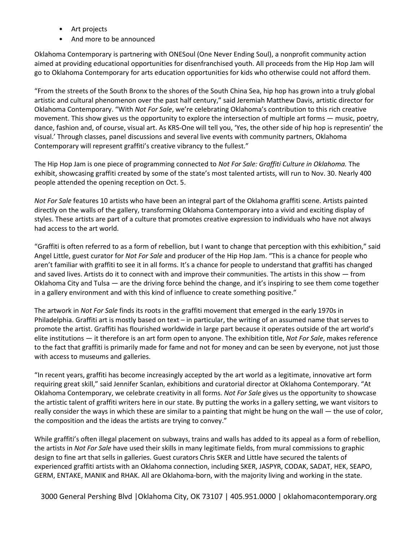- Art projects
- And more to be announced

Oklahoma Contemporary is partnering with ONESoul (One Never Ending Soul), a nonprofit community action aimed at providing educational opportunities for disenfranchised youth. All proceeds from the Hip Hop Jam will go to Oklahoma Contemporary for arts education opportunities for kids who otherwise could not afford them.

"From the streets of the South Bronx to the shores of the South China Sea, hip hop has grown into a truly global artistic and cultural phenomenon over the past half century," said Jeremiah Matthew Davis, artistic director for Oklahoma Contemporary. "With *Not For Sale*, we're celebrating Oklahoma's contribution to this rich creative movement. This show gives us the opportunity to explore the intersection of multiple art forms — music, poetry, dance, fashion and, of course, visual art. As KRS-One will tell you, 'Yes, the other side of hip hop is representin' the visual.' Through classes, panel discussions and several live events with community partners, Oklahoma Contemporary will represent graffiti's creative vibrancy to the fullest."

The Hip Hop Jam is one piece of programming connected to *Not For Sale: Graffiti Culture in Oklahoma.* The exhibit, showcasing graffiti created by some of the state's most talented artists, will run to Nov. 30. Nearly 400 people attended the opening reception on Oct. 5.

*Not For Sale* features 10 artists who have been an integral part of the Oklahoma graffiti scene. Artists painted directly on the walls of the gallery, transforming Oklahoma Contemporary into a vivid and exciting display of styles. These artists are part of a culture that promotes creative expression to individuals who have not always had access to the art world.

"Graffiti is often referred to as a form of rebellion, but I want to change that perception with this exhibition," said Angel Little, guest curator for *Not For Sale* and producer of the Hip Hop Jam. "This is a chance for people who aren't familiar with graffiti to see it in all forms. It's a chance for people to understand that graffiti has changed and saved lives. Artists do it to connect with and improve their communities. The artists in this show — from Oklahoma City and Tulsa — are the driving force behind the change, and it's inspiring to see them come together in a gallery environment and with this kind of influence to create something positive."

The artwork in *Not For Sale* finds its roots in the graffiti movement that emerged in the early 1970s in Philadelphia. Graffiti art is mostly based on text – in particular, the writing of an assumed name that serves to promote the artist. Graffiti has flourished worldwide in large part because it operates outside of the art world's elite institutions — it therefore is an art form open to anyone. The exhibition title, *Not For Sale*, makes reference to the fact that graffiti is primarily made for fame and not for money and can be seen by everyone, not just those with access to museums and galleries.

"In recent years, graffiti has become increasingly accepted by the art world as a legitimate, innovative art form requiring great skill," said Jennifer Scanlan, exhibitions and curatorial director at Oklahoma Contemporary. "At Oklahoma Contemporary, we celebrate creativity in all forms. *Not For Sale* gives us the opportunity to showcase the artistic talent of graffiti writers here in our state. By putting the works in a gallery setting, we want visitors to really consider the ways in which these are similar to a painting that might be hung on the wall — the use of color, the composition and the ideas the artists are trying to convey."

While graffiti's often illegal placement on subways, trains and walls has added to its appeal as a form of rebellion, the artists in *Not For Sale* have used their skills in many legitimate fields, from mural commissions to graphic design to fine art that sells in galleries. Guest curators Chris SKER and Little have secured the talents of experienced graffiti artists with an Oklahoma connection, including SKER, JASPYR, CODAK, SADAT, HEK, SEAPO, GERM, ENTAKE, MANIK and RHAK. All are Oklahoma-born, with the majority living and working in the state.

3000 General Pershing Blvd |Oklahoma City, OK 73107 | 405.951.0000 | oklahomacontemporary.org